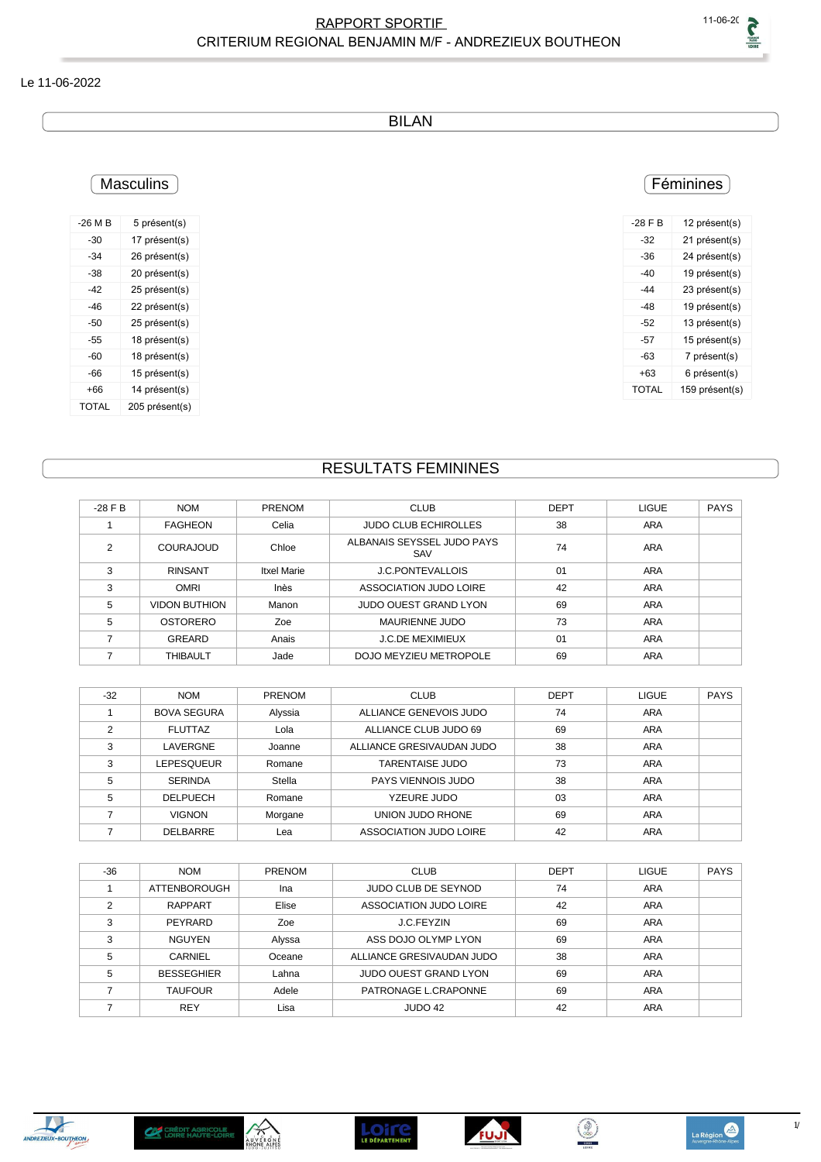#### Le 11-06-2022

BILAN

## **Masculins**

| $-26M$ B | 5 présent(s)   |
|----------|----------------|
| -30      | 17 présent(s)  |
| $-34$    | 26 présent(s)  |
| -38      | 20 présent(s)  |
| -42      | 25 présent(s)  |
| -46      | 22 présent(s)  |
| -50      | 25 présent(s)  |
| -55      | 18 présent(s)  |
| -60      | 18 présent(s)  |
| -66      | 15 présent(s)  |
| +66      | 14 présent(s)  |
| TOTAI    | 205 présent(s) |

#### **Féminines**

| $-28$ F B | 12 présent(s)  |
|-----------|----------------|
| -32       | 21 présent(s)  |
| -36       | 24 présent(s)  |
| -40       | 19 présent(s)  |
| -44       | 23 présent(s)  |
| -48       | 19 présent(s)  |
| -52       | 13 présent(s)  |
| -57       | 15 présent(s)  |
| -63       | 7 présent(s)   |
| +63       | 6 présent(s)   |
| TOTAI     | 159 présent(s) |
|           |                |

# RESULTATS FEMININES

| $-28$ F B | <b>NOM</b>           | <b>PRENOM</b> | <b>CLUB</b>                       | <b>DEPT</b> | <b>LIGUE</b> | <b>PAYS</b> |
|-----------|----------------------|---------------|-----------------------------------|-------------|--------------|-------------|
|           | <b>FAGHEON</b>       | Celia         | <b>JUDO CLUB ECHIROLLES</b>       | 38          | <b>ARA</b>   |             |
| ◠         | <b>COURAJOUD</b>     | Chloe         | ALBANAIS SEYSSEL JUDO PAYS<br>SAV | 74          | ARA          |             |
| 3         | <b>RINSANT</b>       | Itxel Marie   | <b>J.C.PONTEVALLOIS</b>           | 01          | <b>ARA</b>   |             |
| 3         | <b>OMRI</b>          | Inès          | ASSOCIATION JUDO LOIRE            | 42          | <b>ARA</b>   |             |
| 5         | <b>VIDON BUTHION</b> | Manon         | JUDO OUEST GRAND LYON             | 69          | <b>ARA</b>   |             |
| 5         | OSTORERO             | Zoe           | MAURIENNE JUDO                    | 73          | <b>ARA</b>   |             |
|           | GREARD               | Anais         | <b>J.C.DE MEXIMIEUX</b>           | 01          | ARA          |             |
|           | THIBAULT             | Jade          | DOJO MEYZIEU METROPOLE            | 69          | ARA          |             |

| $-32$ | <b>NOM</b>         | <b>PRENOM</b> | <b>CLUB</b>                   | <b>DEPT</b> | <b>LIGUE</b> | <b>PAYS</b> |
|-------|--------------------|---------------|-------------------------------|-------------|--------------|-------------|
|       | <b>BOVA SEGURA</b> | Alyssia       | ALLIANCE GENEVOIS JUDO        | 74          | <b>ARA</b>   |             |
| ◠     | <b>FLUTTAZ</b>     | Lola          | ALLIANCE CLUB JUDO 69         | 69          | <b>ARA</b>   |             |
| 3     | LAVERGNE           | Joanne        | ALLIANCE GRESIVAUDAN JUDO     | 38          | ARA          |             |
| 3     | LEPESQUEUR         | Romane        | <b>TARENTAISE JUDO</b>        | 73          | ARA          |             |
| 5     | <b>SERINDA</b>     | Stella        | PAYS VIENNOIS JUDO            | 38          | <b>ARA</b>   |             |
| 5     | <b>DELPUECH</b>    | Romane        | YZEURE JUDO                   | 03          | <b>ARA</b>   |             |
|       | <b>VIGNON</b>      | Morgane       | UNION JUDO RHONE              | 69          | <b>ARA</b>   |             |
|       | <b>DELBARRE</b>    | Lea           | <b>ASSOCIATION JUDO LOIRE</b> | 42          | ARA          |             |

| $-36$ | <b>NOM</b>          | <b>PRENOM</b> | <b>CLUB</b>                  | <b>DEPT</b> | <b>LIGUE</b> | <b>PAYS</b> |
|-------|---------------------|---------------|------------------------------|-------------|--------------|-------------|
|       | <b>ATTENBOROUGH</b> | Ina           | JUDO CLUB DE SEYNOD          | 74          | <b>ARA</b>   |             |
|       | <b>RAPPART</b>      | Elise         | ASSOCIATION JUDO LOIRE       | 42          | ARA          |             |
|       | PEYRARD             | Zoe           | J.C.FEYZIN                   | 69          | <b>ARA</b>   |             |
| 3     | <b>NGUYEN</b>       | Alyssa        | ASS DOJO OLYMP LYON          | 69          | <b>ARA</b>   |             |
| 5     | CARNIEL             | Oceane        | ALLIANCE GRESIVAUDAN JUDO    | 38          | <b>ARA</b>   |             |
| 5     | <b>BESSEGHIER</b>   | Lahna         | <b>JUDO OUEST GRAND LYON</b> | 69          | <b>ARA</b>   |             |
|       | <b>TAUFOUR</b>      | Adele         | PATRONAGE L.CRAPONNE         | 69          | <b>ARA</b>   |             |
|       | <b>REY</b>          | Lisa          | JUDO 42                      | 42          | <b>ARA</b>   |             |









 $\left(\begin{matrix} \circledast \\ \circledast \end{matrix}\right)$ 

La Région

 $1/$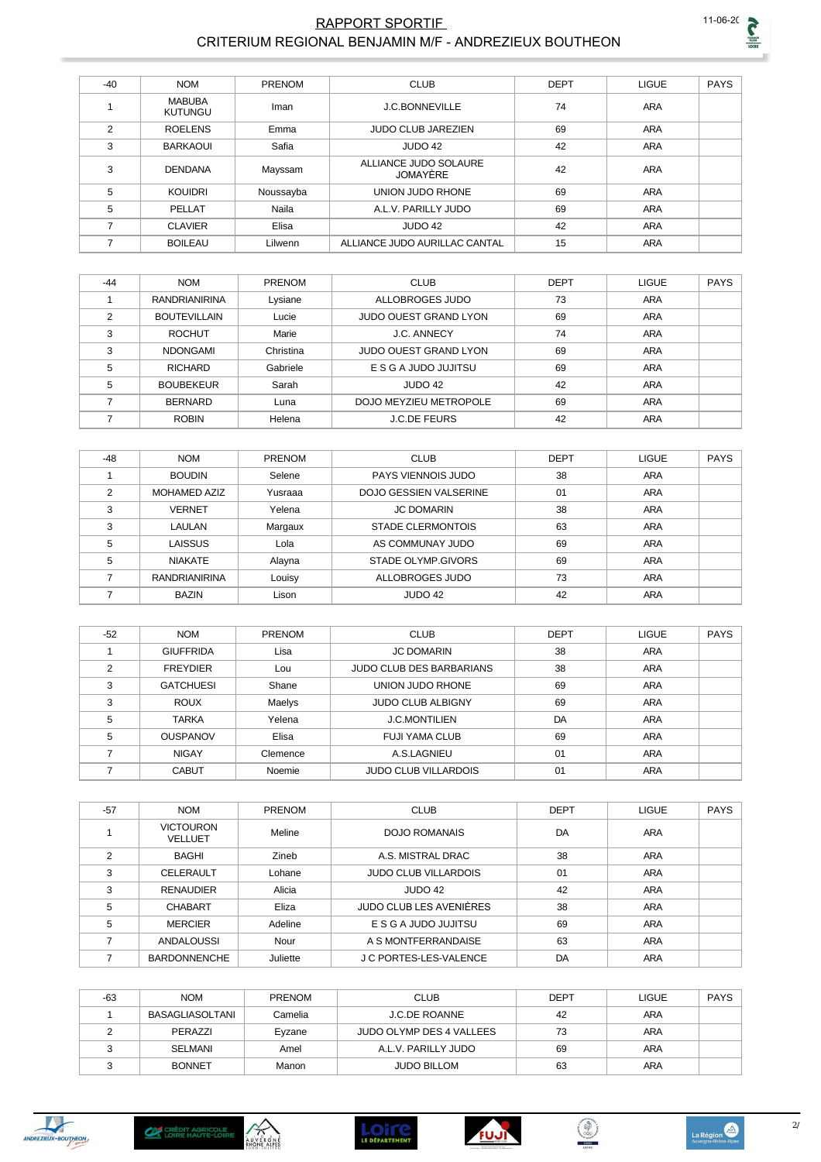

#### **RAPPORT SPORTIF** CRITERIUM REGIONAL BENJAMIN M/F - ANDREZIEUX BOUTHEON

| $-40$         | <b>NOM</b>                      | PRENOM    | <b>CLUB</b>                       | <b>DEPT</b> | <b>LIGUE</b> | <b>PAYS</b> |
|---------------|---------------------------------|-----------|-----------------------------------|-------------|--------------|-------------|
|               | <b>MABUBA</b><br><b>KUTUNGU</b> | Iman      | <b>J.C.BONNEVILLE</b>             | 74          | ARA          |             |
| $\mathcal{P}$ | <b>ROELENS</b>                  | Emma      | <b>JUDO CLUB JAREZIEN</b>         | 69          | <b>ARA</b>   |             |
| 3             | <b>BARKAOUI</b>                 | Safia     | JUDO 42                           | 42          | <b>ARA</b>   |             |
| 3             | <b>DENDANA</b>                  | Mayssam   | ALLIANCE JUDO SOLAURE<br>JOMAYÈRE | 42          | ARA          |             |
| 5             | <b>KOUIDRI</b>                  | Noussayba | UNION JUDO RHONE                  | 69          | <b>ARA</b>   |             |
| 5             | PELLAT                          | Naila     | A.L.V. PARILLY JUDO               | 69          | <b>ARA</b>   |             |
| ⇁             | <b>CLAVIER</b>                  | Elisa     | JUDO 42                           | 42          | <b>ARA</b>   |             |
|               | <b>BOILEAU</b>                  | Lilwenn   | ALLIANCE JUDO AURILLAC CANTAL     | 15          | <b>ARA</b>   |             |

| $-44$ | <b>NOM</b>           | <b>PRENOM</b> | <b>CLUB</b>                  | <b>DEPT</b> | <b>LIGUE</b> | PAYS |
|-------|----------------------|---------------|------------------------------|-------------|--------------|------|
|       | <b>RANDRIANIRINA</b> | Lysiane       | ALLOBROGES JUDO              | 73          | ARA          |      |
| ◠     | <b>BOUTEVILLAIN</b>  | Lucie         | <b>JUDO OUEST GRAND LYON</b> | 69          | <b>ARA</b>   |      |
| 3     | <b>ROCHUT</b>        | Marie         | <b>J.C. ANNECY</b>           | 74          | ARA          |      |
| 3     | <b>NDONGAMI</b>      | Christina     | <b>JUDO OUEST GRAND LYON</b> | 69          | ARA          |      |
| 5     | <b>RICHARD</b>       | Gabriele      | E S G A JUDO JUJITSU         | 69          | <b>ARA</b>   |      |
| 5     | <b>BOUBEKEUR</b>     | Sarah         | JUDO 42                      | 42          | ARA          |      |
|       | <b>BERNARD</b>       | Luna          | DOJO MEYZIEU METROPOLE       | 69          | <b>ARA</b>   |      |
|       | <b>ROBIN</b>         | Helena        | <b>J.C.DE FEURS</b>          | 42          | <b>ARA</b>   |      |

| $-48$         | <b>NOM</b>           | <b>PRENOM</b> | <b>CLUB</b>                   | <b>DEPT</b> | <b>LIGUE</b> | <b>PAYS</b> |
|---------------|----------------------|---------------|-------------------------------|-------------|--------------|-------------|
|               | <b>BOUDIN</b>        | Selene        | PAYS VIENNOIS JUDO            | 38          | <b>ARA</b>   |             |
| $\mathcal{P}$ | <b>MOHAMED AZIZ</b>  | Yusraaa       | <b>DOJO GESSIEN VALSERINE</b> | 01          | <b>ARA</b>   |             |
| 3             | <b>VERNET</b>        | Yelena        | <b>JC DOMARIN</b>             | 38          | <b>ARA</b>   |             |
| 3             | <b>LAULAN</b>        | Margaux       | <b>STADE CLERMONTOIS</b>      | 63          | <b>ARA</b>   |             |
| 5             | LAISSUS              | Lola          | AS COMMUNAY JUDO              | 69          | <b>ARA</b>   |             |
| 5             | <b>NIAKATE</b>       | Alayna        | STADE OLYMP.GIVORS            | 69          | <b>ARA</b>   |             |
|               | <b>RANDRIANIRINA</b> | Louisy        | ALLOBROGES JUDO               | 73          | <b>ARA</b>   |             |
|               | <b>BAZIN</b>         | Lison         | JUDO 42                       | 42          | <b>ARA</b>   |             |

| $-52$ | <b>NOM</b>       | <b>PRENOM</b> | <b>CLUB</b>                     | <b>DEPT</b> | <b>LIGUE</b> | <b>PAYS</b> |
|-------|------------------|---------------|---------------------------------|-------------|--------------|-------------|
|       | <b>GIUFFRIDA</b> | Lisa          | <b>JC DOMARIN</b>               | 38          | <b>ARA</b>   |             |
| ◠     | <b>FREYDIER</b>  | Lou           | <b>JUDO CLUB DES BARBARIANS</b> | 38          | <b>ARA</b>   |             |
| 3     | <b>GATCHUESI</b> | Shane         | UNION JUDO RHONE                | 69          | <b>ARA</b>   |             |
| 3     | <b>ROUX</b>      | Maelys        | <b>JUDO CLUB ALBIGNY</b>        | 69          | <b>ARA</b>   |             |
| 5     | <b>TARKA</b>     | Yelena        | <b>J.C.MONTILIEN</b>            | DA          | ARA          |             |
| 5     | <b>OUSPANOV</b>  | Elisa         | <b>FUJI YAMA CLUB</b>           | 69          | <b>ARA</b>   |             |
|       | <b>NIGAY</b>     | Clemence      | A.S.LAGNIEU                     | 01          | ARA          |             |
|       | <b>CABUT</b>     | Noemie        | <b>JUDO CLUB VILLARDOIS</b>     | 01          | <b>ARA</b>   |             |

| $-57$          | <b>NOM</b>                  | <b>PRENOM</b> | <b>CLUB</b>                 | <b>DEPT</b> | <b>LIGUE</b> | <b>PAYS</b> |
|----------------|-----------------------------|---------------|-----------------------------|-------------|--------------|-------------|
|                | <b>VICTOURON</b><br>VELLUET | Meline        | DOJO ROMANAIS               | DA          | ARA          |             |
| $\mathfrak{p}$ | <b>BAGHI</b>                | Zineb         | A.S. MISTRAL DRAC           | 38          | ARA          |             |
| 3              | CELERAULT                   | Lohane        | <b>JUDO CLUB VILLARDOIS</b> | 01          | ARA          |             |
| 3              | <b>RENAUDIER</b>            | Alicia        | JUDO 42                     | 42          | ARA          |             |
| 5              | <b>CHABART</b>              | Eliza         | JUDO CLUB LES AVENIÈRES     | 38          | <b>ARA</b>   |             |
| 5              | <b>MERCIER</b>              | Adeline       | E S G A JUDO JUJITSU        | 69          | <b>ARA</b>   |             |
|                | ANDALOUSSI                  | Nour          | A S MONTFERRANDAISE         | 63          | <b>ARA</b>   |             |
|                | <b>BARDONNENCHE</b>         | Juliette      | J C PORTES-LES-VALENCE      | DA          | <b>ARA</b>   |             |

| $-63$ | <b>NOM</b>      | <b>PRENOM</b> | <b>CLUB</b>              | <b>DEPT</b> | <b>LIGUE</b> | PAYS |
|-------|-----------------|---------------|--------------------------|-------------|--------------|------|
|       | BASAGLIASOLTANI | Camelia       | <b>J.C.DE ROANNE</b>     | 42          | <b>ARA</b>   |      |
|       | PERAZZI         | Eyzane        | JUDO OLYMP DES 4 VALLEES | 73          | <b>ARA</b>   |      |
|       | <b>SELMANI</b>  | Amel          | A.L.V. PARILLY JUDO      | 69          | <b>ARA</b>   |      |
|       | <b>BONNET</b>   | Manon         | <b>JUDO BILLOM</b>       | 63          | ARA          |      |









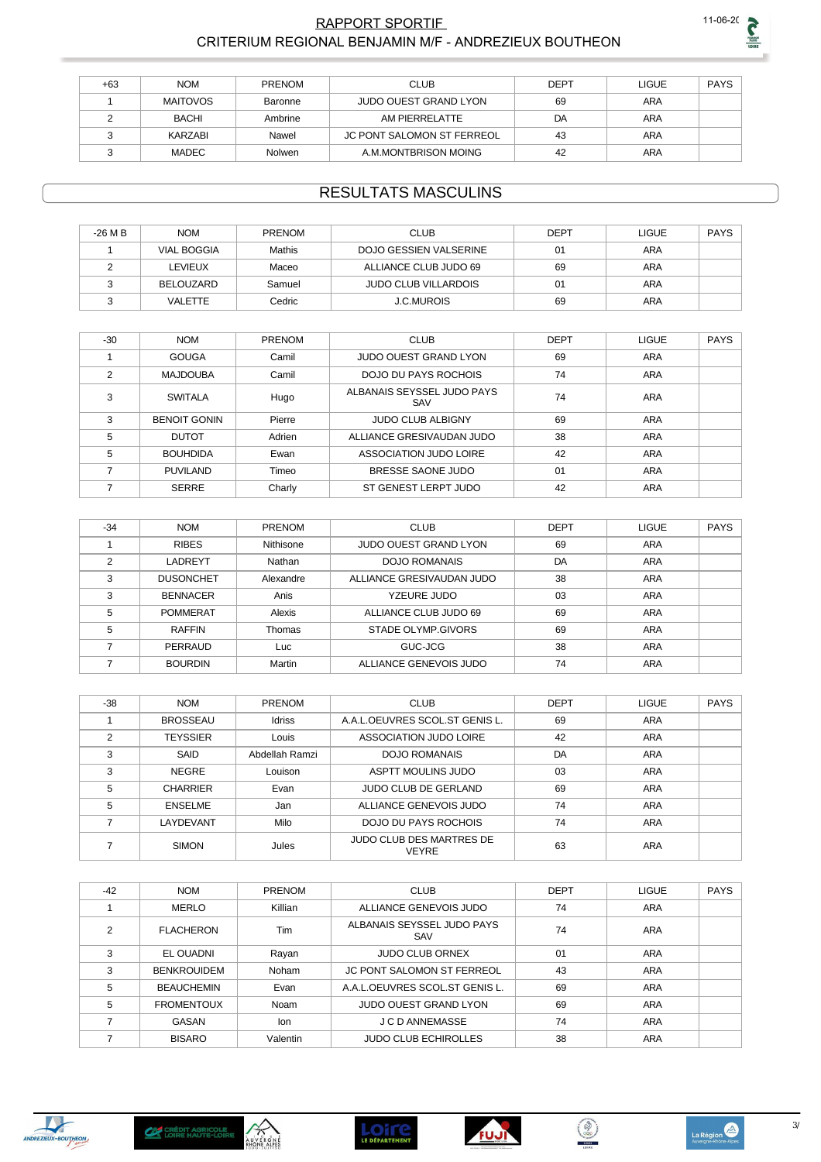

#### RAPPORT SPORTIF CRITERIUM REGIONAL BENJAMIN M/F - ANDREZIEUX BOUTHEON

| +63 | <b>NOM</b>      | <b>PRENOM</b> | <b>CLUB</b>                  | <b>DEPT</b> | LIGUE      | <b>PAYS</b> |
|-----|-----------------|---------------|------------------------------|-------------|------------|-------------|
|     | <b>MAITOVOS</b> | Baronne       | <b>JUDO OUEST GRAND LYON</b> | 69          | <b>ARA</b> |             |
|     | BACHI           | Ambrine       | AM PIERRELATTE               | DA          | <b>ARA</b> |             |
|     | KARZABI         | Nawel         | JC PONT SALOMON ST FERREOL   | 43          | <b>ARA</b> |             |
|     | <b>MADEC</b>    | <b>Nolwen</b> | A.M.MONTBRISON MOING         | 42          | <b>ARA</b> |             |

### **RESULTATS MASCULINS**

| $-26$ M B | <b>NOM</b>         | <b>PRENOM</b> | <b>CLUB</b>                 | <b>DEPT</b> | LIGUE      | <b>PAYS</b> |
|-----------|--------------------|---------------|-----------------------------|-------------|------------|-------------|
|           | <b>VIAL BOGGIA</b> | Mathis        | DOJO GESSIEN VALSERINE      | 01          | <b>ARA</b> |             |
|           | LEVIEUX            | Maceo         | ALLIANCE CLUB JUDO 69       | 69          | <b>ARA</b> |             |
|           | BELOUZARD          | Samuel        | <b>JUDO CLUB VILLARDOIS</b> | 01          | ARA        |             |
|           | VALETTE            | Cedric        | <b>J.C.MUROIS</b>           | 69          | ARA        |             |

| $-30$          | <b>NOM</b>          | <b>PRENOM</b> | <b>CLUB</b>                       | <b>DEPT</b> | LIGUE      | <b>PAYS</b> |
|----------------|---------------------|---------------|-----------------------------------|-------------|------------|-------------|
|                | <b>GOUGA</b>        | Camil         | <b>JUDO OUEST GRAND LYON</b>      | 69          | <b>ARA</b> |             |
| $\overline{2}$ | <b>MAJDOUBA</b>     | Camil         | <b>DOJO DU PAYS ROCHOIS</b>       | 74          | <b>ARA</b> |             |
| 3              | <b>SWITALA</b>      | Hugo          | ALBANAIS SEYSSEL JUDO PAYS<br>SAV | 74          | <b>ARA</b> |             |
| 3              | <b>BENOIT GONIN</b> | Pierre        | <b>JUDO CLUB ALBIGNY</b>          | 69          | <b>ARA</b> |             |
| 5              | <b>DUTOT</b>        | Adrien        | ALLIANCE GRESIVAUDAN JUDO         | 38          | <b>ARA</b> |             |
| 5              | <b>BOUHDIDA</b>     | Ewan          | ASSOCIATION JUDO LOIRE            | 42          | <b>ARA</b> |             |
|                | <b>PUVILAND</b>     | Timeo         | BRESSE SAONE JUDO                 | 01          | <b>ARA</b> |             |
|                | <b>SERRE</b>        | Charly        | ST GENEST LERPT JUDO              | 42          | <b>ARA</b> |             |

| $-34$ | <b>NOM</b>       | <b>PRENOM</b> | <b>CLUB</b>                  | <b>DEPT</b> | <b>LIGUE</b> | <b>PAYS</b> |
|-------|------------------|---------------|------------------------------|-------------|--------------|-------------|
|       | <b>RIBES</b>     | Nithisone     | <b>JUDO OUEST GRAND LYON</b> | 69          | ARA          |             |
| っ     | LADREYT          | Nathan        | <b>DOJO ROMANAIS</b>         | DA          | <b>ARA</b>   |             |
| 3     | <b>DUSONCHET</b> | Alexandre     | ALLIANCE GRESIVAUDAN JUDO    | 38          | ARA          |             |
| 3     | <b>BENNACER</b>  | Anis          | YZEURE JUDO                  | 03          | ARA          |             |
| 5     | <b>POMMERAT</b>  | Alexis        | ALLIANCE CLUB JUDO 69        | 69          | ARA          |             |
| 5     | <b>RAFFIN</b>    | Thomas        | STADE OLYMP.GIVORS           | 69          | <b>ARA</b>   |             |
|       | PERRAUD          | Luc           | GUC-JCG                      | 38          | <b>ARA</b>   |             |
|       | <b>BOURDIN</b>   | Martin        | ALLIANCE GENEVOIS JUDO       | 74          | <b>ARA</b>   |             |

| $-38$ | <b>NOM</b>      | PRENOM         | <b>CLUB</b>                                     | <b>DEPT</b> | <b>LIGUE</b> | <b>PAYS</b> |
|-------|-----------------|----------------|-------------------------------------------------|-------------|--------------|-------------|
|       | <b>BROSSEAU</b> | <b>Idriss</b>  | A.A.L.OEUVRES SCOL.ST GENIS L.                  | 69          | ARA          |             |
| າ     | <b>TEYSSIER</b> | Louis          | ASSOCIATION JUDO LOIRE                          | 42          | ARA          |             |
| 3     | <b>SAID</b>     | Abdellah Ramzi | <b>DOJO ROMANAIS</b>                            | DA          | ARA          |             |
| 3     | <b>NEGRE</b>    | Louison        | ASPTT MOULINS JUDO                              | 03          | ARA          |             |
| 5     | <b>CHARRIER</b> | Evan           | <b>JUDO CLUB DE GERLAND</b>                     | 69          | ARA          |             |
| 5     | <b>ENSELME</b>  | Jan            | ALLIANCE GENEVOIS JUDO                          | 74          | ARA          |             |
|       | LAYDEVANT       | Milo           | DOJO DU PAYS ROCHOIS                            | 74          | ARA          |             |
|       | <b>SIMON</b>    | Jules          | <b>JUDO CLUB DES MARTRES DE</b><br><b>VEYRE</b> | 63          | <b>ARA</b>   |             |

| $-42$         | <b>NOM</b>         | <b>PRENOM</b> | <b>CLUB</b>                       | <b>DEPT</b> | <b>LIGUE</b> | <b>PAYS</b> |
|---------------|--------------------|---------------|-----------------------------------|-------------|--------------|-------------|
|               | <b>MERLO</b>       | Killian       | ALLIANCE GENEVOIS JUDO            | 74          | <b>ARA</b>   |             |
| $\mathcal{P}$ | <b>FLACHERON</b>   | Tim           | ALBANAIS SEYSSEL JUDO PAYS<br>SAV | 74          | ARA          |             |
| 3             | EL OUADNI          | Rayan         | <b>JUDO CLUB ORNEX</b>            | 01          | ARA          |             |
| 3             | <b>BENKROUIDEM</b> | Noham         | <b>JC PONT SALOMON ST FERREOL</b> | 43          | <b>ARA</b>   |             |
| 5             | <b>BEAUCHEMIN</b>  | Evan          | A.A.L.OEUVRES SCOL.ST GENIS L.    | 69          | ARA          |             |
| 5             | <b>FROMENTOUX</b>  | Noam          | <b>JUDO OUEST GRAND LYON</b>      | 69          | ARA          |             |
|               | GASAN              | lon           | J C D ANNEMASSE                   | 74          | ARA          |             |
|               | <b>BISARO</b>      | Valentin      | <b>JUDO CLUB ECHIROLLES</b>       | 38          | <b>ARA</b>   |             |





AUVERGNE



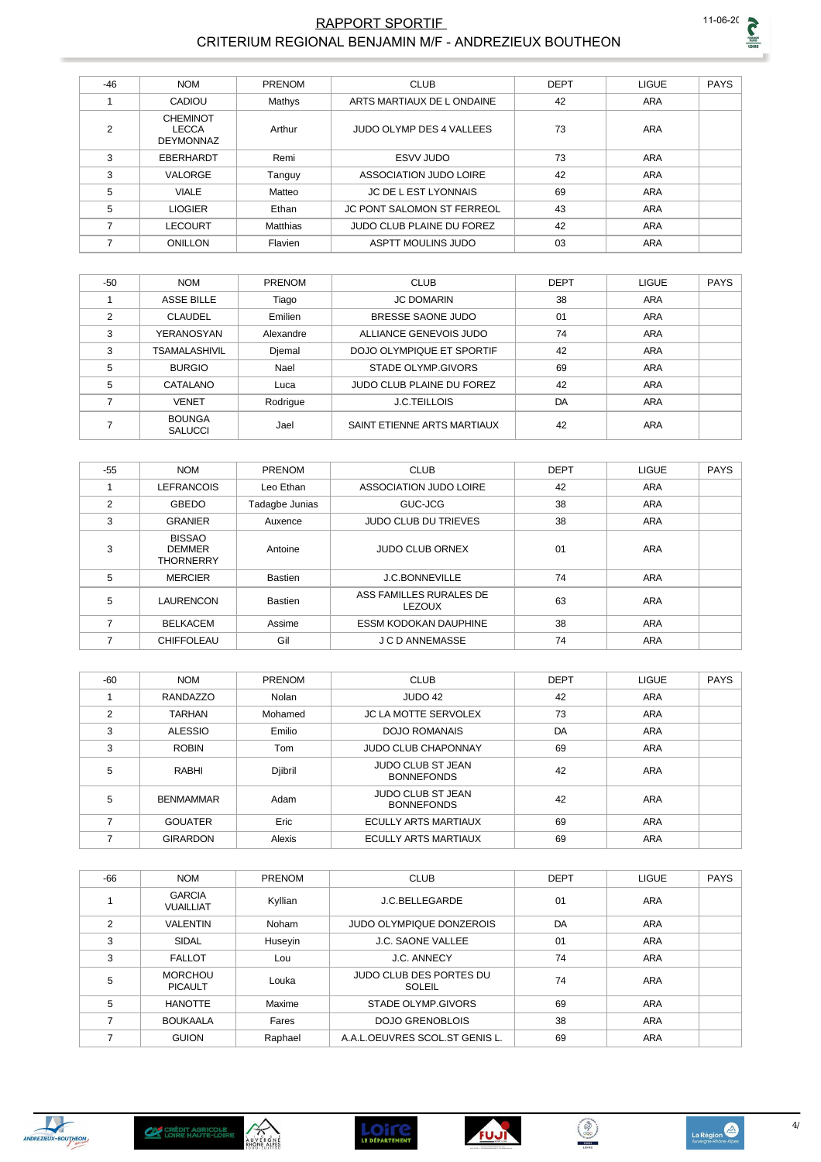#### RAPPORT SPORTIF CRITERIUM REGIONAL BENJAMIN M/F - ANDREZIEUX BOUTHEON

| $-46$ | <b>NOM</b>                                          | PRENOM   | <b>CLUB</b>                       | <b>DEPT</b> | <b>LIGUE</b> | <b>PAYS</b> |
|-------|-----------------------------------------------------|----------|-----------------------------------|-------------|--------------|-------------|
|       | CADIOU                                              | Mathys   | ARTS MARTIAUX DE LONDAINE         | 42          | <b>ARA</b>   |             |
| 2     | <b>CHEMINOT</b><br><b>LECCA</b><br><b>DEYMONNAZ</b> | Arthur   | JUDO OLYMP DES 4 VALLEES          | 73          | ARA          |             |
| 3     | EBERHARDT                                           | Remi     | ESVV JUDO                         | 73          | <b>ARA</b>   |             |
| 3     | VALORGE                                             | Tanguy   | ASSOCIATION JUDO LOIRE            | 42          | <b>ARA</b>   |             |
| 5     | <b>VIALE</b>                                        | Matteo   | JC DE L EST LYONNAIS              | 69          | ARA          |             |
| 5     | <b>LIOGIER</b>                                      | Ethan    | <b>JC PONT SALOMON ST FERREOL</b> | 43          | <b>ARA</b>   |             |
| 7     | <b>LECOURT</b>                                      | Matthias | JUDO CLUB PLAINE DU FOREZ         | 42          | ARA          |             |
| 7     | ONILLON                                             | Flavien  | <b>ASPTT MOULINS JUDO</b>         | 03          | <b>ARA</b>   |             |

| $-50$ | <b>NOM</b>                      | <b>PRENOM</b> | <b>CLUB</b>                 | <b>DEPT</b> | <b>LIGUE</b> | <b>PAYS</b> |
|-------|---------------------------------|---------------|-----------------------------|-------------|--------------|-------------|
|       | <b>ASSE BILLE</b>               | Tiago         | <b>JC DOMARIN</b>           | 38          | <b>ARA</b>   |             |
| 2     | <b>CLAUDEL</b>                  | Emilien       | BRESSE SAONE JUDO           | 01          | <b>ARA</b>   |             |
| 3     | YERANOSYAN                      | Alexandre     | ALLIANCE GENEVOIS JUDO      | 74          | <b>ARA</b>   |             |
| 3     | <b>TSAMALASHIVIL</b>            | Djemal        | DOJO OLYMPIQUE ET SPORTIF   | 42          | ARA          |             |
| 5     | <b>BURGIO</b>                   | Nael          | STADE OLYMP GIVORS          | 69          | ARA          |             |
| 5     | CATALANO                        | Luca          | JUDO CLUB PLAINE DU FOREZ   | 42          | <b>ARA</b>   |             |
| –     | <b>VENET</b>                    | Rodrigue      | <b>J.C.TEILLOIS</b>         | DA          | <b>ARA</b>   |             |
|       | <b>BOUNGA</b><br><b>SALUCCI</b> | Jael          | SAINT ETIENNE ARTS MARTIAUX | 42          | <b>ARA</b>   |             |

| $-55$ | <b>NOM</b>                                         | <b>PRENOM</b>  | <b>CLUB</b>                              | <b>DEPT</b> | <b>LIGUE</b> | <b>PAYS</b> |
|-------|----------------------------------------------------|----------------|------------------------------------------|-------------|--------------|-------------|
|       | <b>LEFRANCOIS</b>                                  | Leo Ethan      | ASSOCIATION JUDO LOIRE                   | 42          | <b>ARA</b>   |             |
| 2     | GBEDO                                              | Tadagbe Junias | GUC-JCG                                  | 38          | <b>ARA</b>   |             |
| 3     | <b>GRANIER</b>                                     | Auxence        | <b>JUDO CLUB DU TRIEVES</b>              | 38          | <b>ARA</b>   |             |
| 3     | <b>BISSAO</b><br><b>DEMMER</b><br><b>THORNERRY</b> | Antoine        | <b>JUDO CLUB ORNEX</b>                   | 01          | ARA          |             |
| 5     | <b>MERCIER</b>                                     | <b>Bastien</b> | <b>J.C.BONNEVILLE</b>                    | 74          | <b>ARA</b>   |             |
| 5     | <b>LAURENCON</b>                                   | <b>Bastien</b> | ASS FAMILLES RURALES DE<br><b>LEZOUX</b> | 63          | <b>ARA</b>   |             |
| 7     | <b>BELKACEM</b>                                    | Assime         | <b>ESSM KODOKAN DAUPHINE</b>             | 38          | <b>ARA</b>   |             |
|       | <b>CHIFFOLEAU</b>                                  | Gil            | <b>J C D ANNEMASSE</b>                   | 74          | <b>ARA</b>   |             |

| $-60$ | <b>NOM</b>       | PRENOM  | <b>CLUB</b>                                   | <b>DEPT</b> | <b>LIGUE</b> | <b>PAYS</b> |
|-------|------------------|---------|-----------------------------------------------|-------------|--------------|-------------|
|       | <b>RANDAZZO</b>  | Nolan   | JUDO 42                                       | 42          | <b>ARA</b>   |             |
| 2     | <b>TARHAN</b>    | Mohamed | <b>JC LA MOTTE SERVOLEX</b>                   | 73          | <b>ARA</b>   |             |
| 3     | <b>ALESSIO</b>   | Emilio  | <b>DOJO ROMANAIS</b>                          | DA          | ARA          |             |
| 3     | <b>ROBIN</b>     | Tom     | <b>JUDO CLUB CHAPONNAY</b>                    | 69          | ARA          |             |
| 5     | RABHI            | Djibril | <b>JUDO CLUB ST JEAN</b><br><b>BONNEFONDS</b> | 42          | <b>ARA</b>   |             |
| 5     | <b>BENMAMMAR</b> | Adam    | <b>JUDO CLUB ST JEAN</b><br><b>BONNEFONDS</b> | 42          | ARA          |             |
| 7     | <b>GOUATER</b>   | Eric    | <b>ECULLY ARTS MARTIAUX</b>                   | 69          | <b>ARA</b>   |             |
|       | <b>GIRARDON</b>  | Alexis  | ECULLY ARTS MARTIAUX                          | 69          | <b>ARA</b>   |             |

| $-66$ | <b>NOM</b>                        | PRENOM  | <b>CLUB</b>                              | <b>DEPT</b> | <b>LIGUE</b> | <b>PAYS</b> |
|-------|-----------------------------------|---------|------------------------------------------|-------------|--------------|-------------|
|       | <b>GARCIA</b><br><b>VUAILLIAT</b> | Kyllian | J.C.BELLEGARDE                           | 01          | ARA          |             |
| 2     | <b>VALENTIN</b>                   | Noham   | <b>JUDO OLYMPIQUE DONZEROIS</b>          | DA          | <b>ARA</b>   |             |
| 3     | SIDAL                             | Huseyin | <b>J.C. SAONE VALLEE</b>                 | 01          | <b>ARA</b>   |             |
| 3     | <b>FALLOT</b>                     | Lou     | <b>J.C. ANNECY</b>                       | 74          | <b>ARA</b>   |             |
| 5     | <b>MORCHOU</b><br><b>PICAULT</b>  | Louka   | <b>JUDO CLUB DES PORTES DU</b><br>SOLEIL | 74          | <b>ARA</b>   |             |
| 5     | <b>HANOTTE</b>                    | Maxime  | STADE OLYMP.GIVORS                       | 69          | <b>ARA</b>   |             |
|       | <b>BOUKAALA</b>                   | Fares   | <b>DOJO GRENOBLOIS</b>                   | 38          | <b>ARA</b>   |             |
|       | <b>GUION</b>                      | Raphael | A.A.L.OEUVRES SCOL.ST GENIS L.           | 69          | <b>ARA</b>   |             |